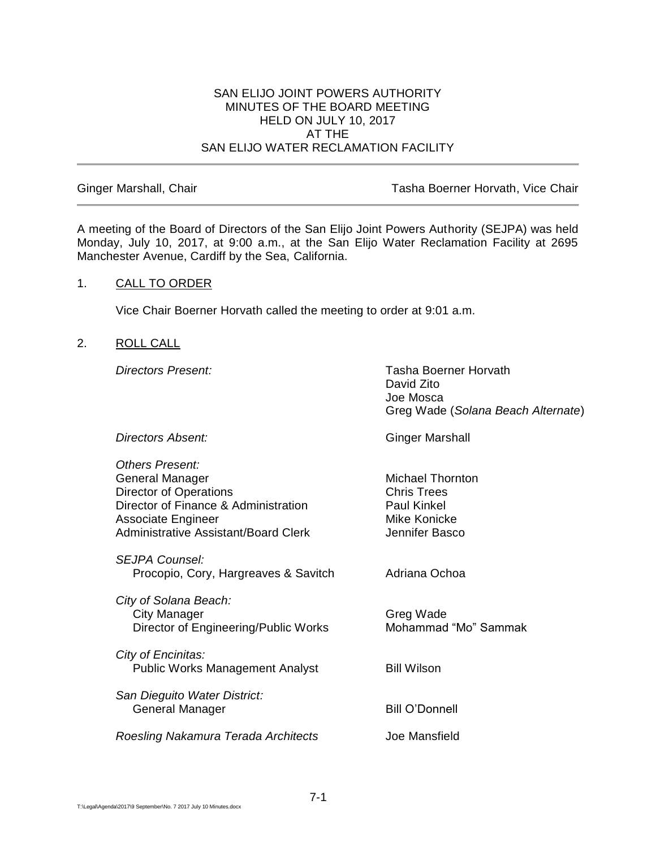#### SAN ELIJO JOINT POWERS AUTHORITY MINUTES OF THE BOARD MEETING HELD ON JULY 10, 2017 AT THE SAN ELIJO WATER RECLAMATION FACILITY

Ginger Marshall, Chair **Tasha Boerner Horvath, Vice Chair** Tasha Boerner Horvath, Vice Chair

A meeting of the Board of Directors of the San Elijo Joint Powers Authority (SEJPA) was held Monday, July 10, 2017, at 9:00 a.m., at the San Elijo Water Reclamation Facility at 2695 Manchester Avenue, Cardiff by the Sea, California.

#### 1. CALL TO ORDER

Vice Chair Boerner Horvath called the meeting to order at 9:01 a.m.

#### 2. ROLL CALL

*Directors Present:* Tasha Boerner Horvath David Zito Joe Mosca Greg Wade (*Solana Beach Alternate*)

**Directors Absent:** Ginger Marshall *Others Present:* General Manager Michael Thornton Director of Operations **Chris Trees** Director of Finance & Administration Paul Kinkel Associate Engineer Mike Konicke Administrative Assistant/Board Clerk Jennifer Basco *SEJPA Counsel:* Procopio, Cory, Hargreaves & Savitch Adriana Ochoa *City of Solana Beach:* City Manager Greg Wade Director of Engineering/Public Works Mohammad "Mo" Sammak *City of Encinitas:* Public Works Management Analyst Bill Wilson *San Dieguito Water District:* General Manager Bill O'Donnell *Roesling Nakamura Terada Architects* Joe Mansfield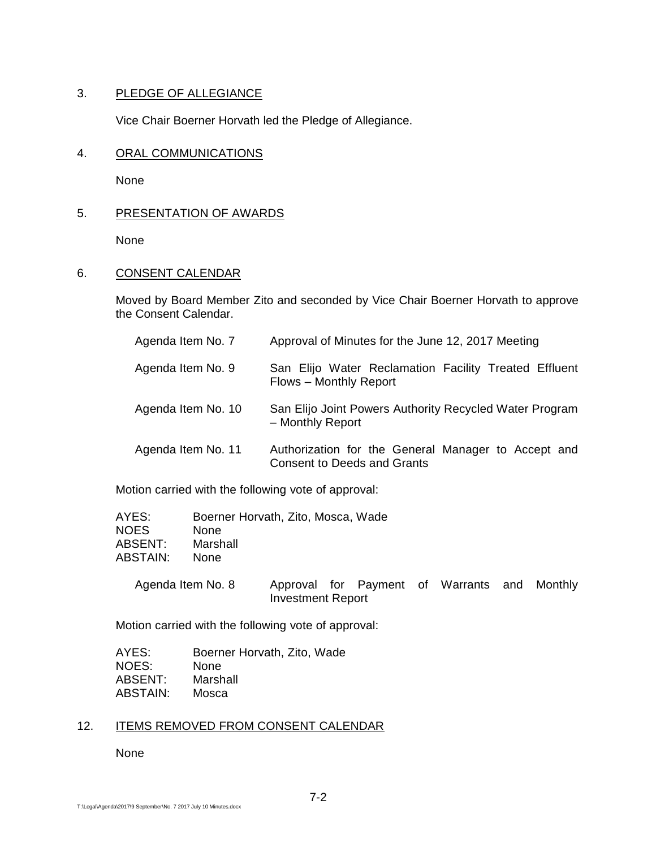## 3. PLEDGE OF ALLEGIANCE

Vice Chair Boerner Horvath led the Pledge of Allegiance.

## 4. ORAL COMMUNICATIONS

None

## 5. PRESENTATION OF AWARDS

None

# 6. CONSENT CALENDAR

Moved by Board Member Zito and seconded by Vice Chair Boerner Horvath to approve the Consent Calendar.

| Agenda Item No. 7  | Approval of Minutes for the June 12, 2017 Meeting                                         |
|--------------------|-------------------------------------------------------------------------------------------|
| Agenda Item No. 9  | San Elijo Water Reclamation Facility Treated Effluent<br>Flows - Monthly Report           |
| Agenda Item No. 10 | San Elijo Joint Powers Authority Recycled Water Program<br>- Monthly Report               |
| Agenda Item No. 11 | Authorization for the General Manager to Accept and<br><b>Consent to Deeds and Grants</b> |

Motion carried with the following vote of approval:

| Boerner Horvath, Zito, Mosca, Wade |
|------------------------------------|
|                                    |
|                                    |
|                                    |
|                                    |

| Agenda Item No. 8 |                          |  | Approval for Payment of Warrants and Monthly |  |
|-------------------|--------------------------|--|----------------------------------------------|--|
|                   | <b>Investment Report</b> |  |                                              |  |

Motion carried with the following vote of approval:

| AYES:    | Boerner Horvath, Zito, Wade |
|----------|-----------------------------|
| NOES:    | None                        |
| ABSENT:  | Marshall                    |
| ABSTAIN: | Mosca                       |

# 12. ITEMS REMOVED FROM CONSENT CALENDAR

None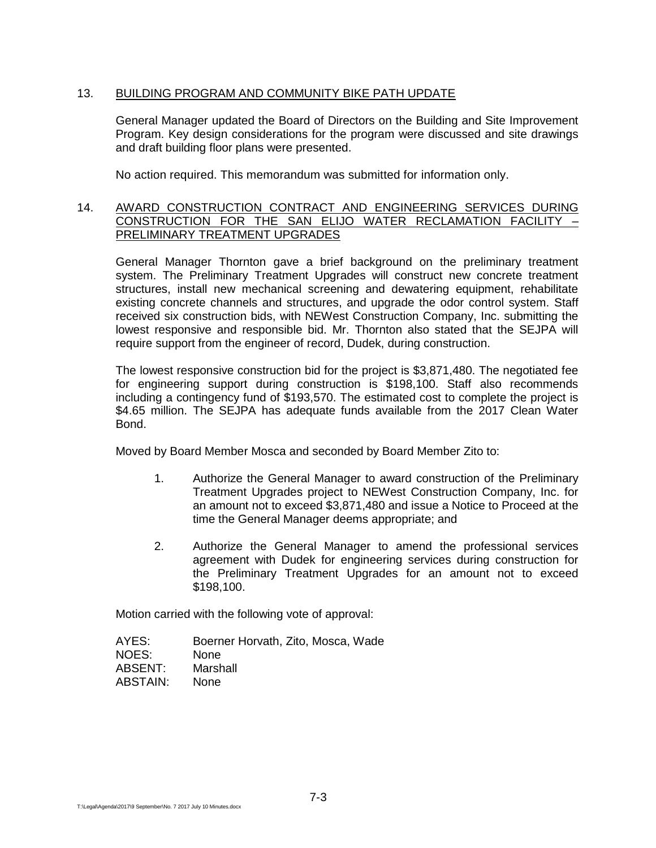## 13. BUILDING PROGRAM AND COMMUNITY BIKE PATH UPDATE

General Manager updated the Board of Directors on the Building and Site Improvement Program. Key design considerations for the program were discussed and site drawings and draft building floor plans were presented.

No action required. This memorandum was submitted for information only.

## 14. AWARD CONSTRUCTION CONTRACT AND ENGINEERING SERVICES DURING CONSTRUCTION FOR THE SAN ELIJO WATER RECLAMATION FACILITY – PRELIMINARY TREATMENT UPGRADES

General Manager Thornton gave a brief background on the preliminary treatment system. The Preliminary Treatment Upgrades will construct new concrete treatment structures, install new mechanical screening and dewatering equipment, rehabilitate existing concrete channels and structures, and upgrade the odor control system. Staff received six construction bids, with NEWest Construction Company, Inc. submitting the lowest responsive and responsible bid. Mr. Thornton also stated that the SEJPA will require support from the engineer of record, Dudek, during construction.

The lowest responsive construction bid for the project is \$3,871,480. The negotiated fee for engineering support during construction is \$198,100. Staff also recommends including a contingency fund of \$193,570. The estimated cost to complete the project is \$4.65 million. The SEJPA has adequate funds available from the 2017 Clean Water Bond.

Moved by Board Member Mosca and seconded by Board Member Zito to:

- 1. Authorize the General Manager to award construction of the Preliminary Treatment Upgrades project to NEWest Construction Company, Inc. for an amount not to exceed \$3,871,480 and issue a Notice to Proceed at the time the General Manager deems appropriate; and
- 2. Authorize the General Manager to amend the professional services agreement with Dudek for engineering services during construction for the Preliminary Treatment Upgrades for an amount not to exceed \$198,100.

Motion carried with the following vote of approval:

AYES: Boerner Horvath, Zito, Mosca, Wade NOES: None ABSENT: Marshall ABSTAIN: None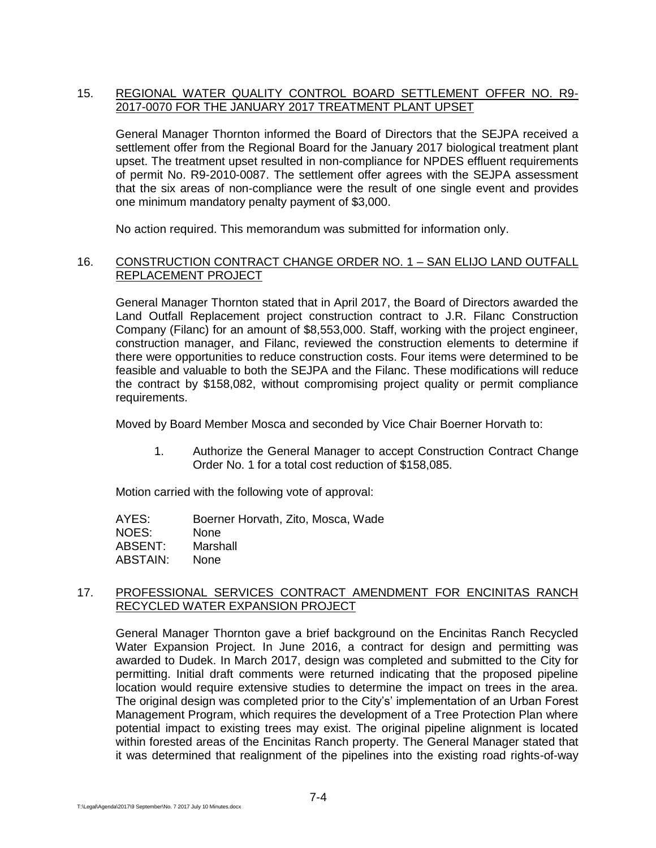## 15. REGIONAL WATER QUALITY CONTROL BOARD SETTLEMENT OFFER NO. R9- 2017-0070 FOR THE JANUARY 2017 TREATMENT PLANT UPSET

General Manager Thornton informed the Board of Directors that the SEJPA received a settlement offer from the Regional Board for the January 2017 biological treatment plant upset. The treatment upset resulted in non-compliance for NPDES effluent requirements of permit No. R9-2010-0087. The settlement offer agrees with the SEJPA assessment that the six areas of non-compliance were the result of one single event and provides one minimum mandatory penalty payment of \$3,000.

No action required. This memorandum was submitted for information only.

#### 16. CONSTRUCTION CONTRACT CHANGE ORDER NO. 1 – SAN ELIJO LAND OUTFALL REPLACEMENT PROJECT

General Manager Thornton stated that in April 2017, the Board of Directors awarded the Land Outfall Replacement project construction contract to J.R. Filanc Construction Company (Filanc) for an amount of \$8,553,000. Staff, working with the project engineer, construction manager, and Filanc, reviewed the construction elements to determine if there were opportunities to reduce construction costs. Four items were determined to be feasible and valuable to both the SEJPA and the Filanc. These modifications will reduce the contract by \$158,082, without compromising project quality or permit compliance requirements.

Moved by Board Member Mosca and seconded by Vice Chair Boerner Horvath to:

1. Authorize the General Manager to accept Construction Contract Change Order No. 1 for a total cost reduction of \$158,085.

Motion carried with the following vote of approval:

| AYES:    | Boerner Horvath, Zito, Mosca, Wade |
|----------|------------------------------------|
| NOES:    | <b>None</b>                        |
| ABSENT:  | Marshall                           |
| ABSTAIN: | <b>None</b>                        |

## 17. PROFESSIONAL SERVICES CONTRACT AMENDMENT FOR ENCINITAS RANCH RECYCLED WATER EXPANSION PROJECT

General Manager Thornton gave a brief background on the Encinitas Ranch Recycled Water Expansion Project. In June 2016, a contract for design and permitting was awarded to Dudek. In March 2017, design was completed and submitted to the City for permitting. Initial draft comments were returned indicating that the proposed pipeline location would require extensive studies to determine the impact on trees in the area. The original design was completed prior to the City's' implementation of an Urban Forest Management Program, which requires the development of a Tree Protection Plan where potential impact to existing trees may exist. The original pipeline alignment is located within forested areas of the Encinitas Ranch property. The General Manager stated that it was determined that realignment of the pipelines into the existing road rights-of-way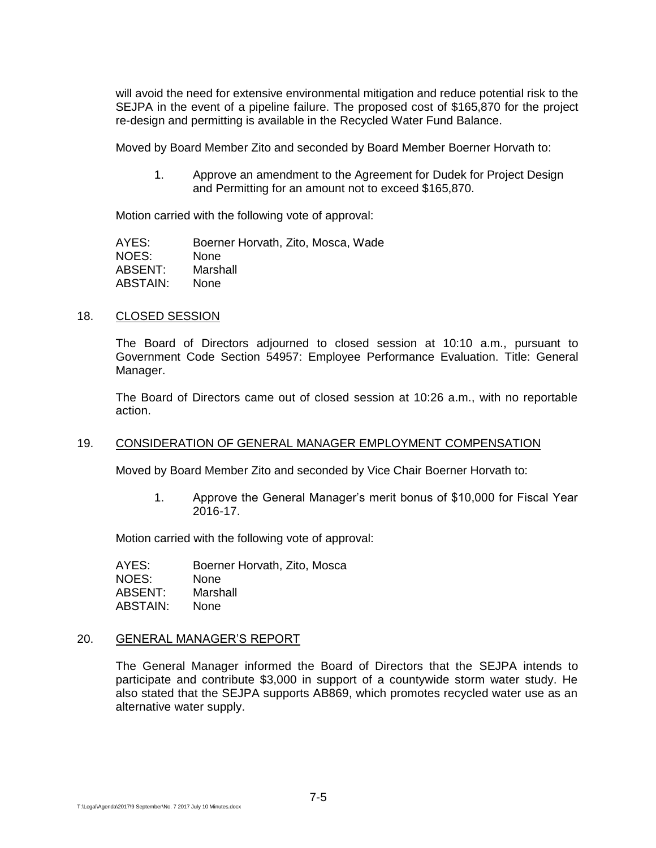will avoid the need for extensive environmental mitigation and reduce potential risk to the SEJPA in the event of a pipeline failure. The proposed cost of \$165,870 for the project re-design and permitting is available in the Recycled Water Fund Balance.

Moved by Board Member Zito and seconded by Board Member Boerner Horvath to:

1. Approve an amendment to the Agreement for Dudek for Project Design and Permitting for an amount not to exceed \$165,870.

Motion carried with the following vote of approval:

| AYES:    | Boerner Horvath, Zito, Mosca, Wade |
|----------|------------------------------------|
| NOES:    | <b>None</b>                        |
| ABSENT:  | Marshall                           |
| ABSTAIN: | <b>None</b>                        |

#### 18. CLOSED SESSION

The Board of Directors adjourned to closed session at 10:10 a.m., pursuant to Government Code Section 54957: Employee Performance Evaluation. Title: General Manager.

The Board of Directors came out of closed session at 10:26 a.m., with no reportable action.

#### 19. CONSIDERATION OF GENERAL MANAGER EMPLOYMENT COMPENSATION

Moved by Board Member Zito and seconded by Vice Chair Boerner Horvath to:

1. Approve the General Manager's merit bonus of \$10,000 for Fiscal Year 2016-17.

Motion carried with the following vote of approval:

AYES: Boerner Horvath, Zito, Mosca NOES: None ABSENT: Marshall ABSTAIN: None

#### 20. GENERAL MANAGER'S REPORT

The General Manager informed the Board of Directors that the SEJPA intends to participate and contribute \$3,000 in support of a countywide storm water study. He also stated that the SEJPA supports AB869, which promotes recycled water use as an alternative water supply.